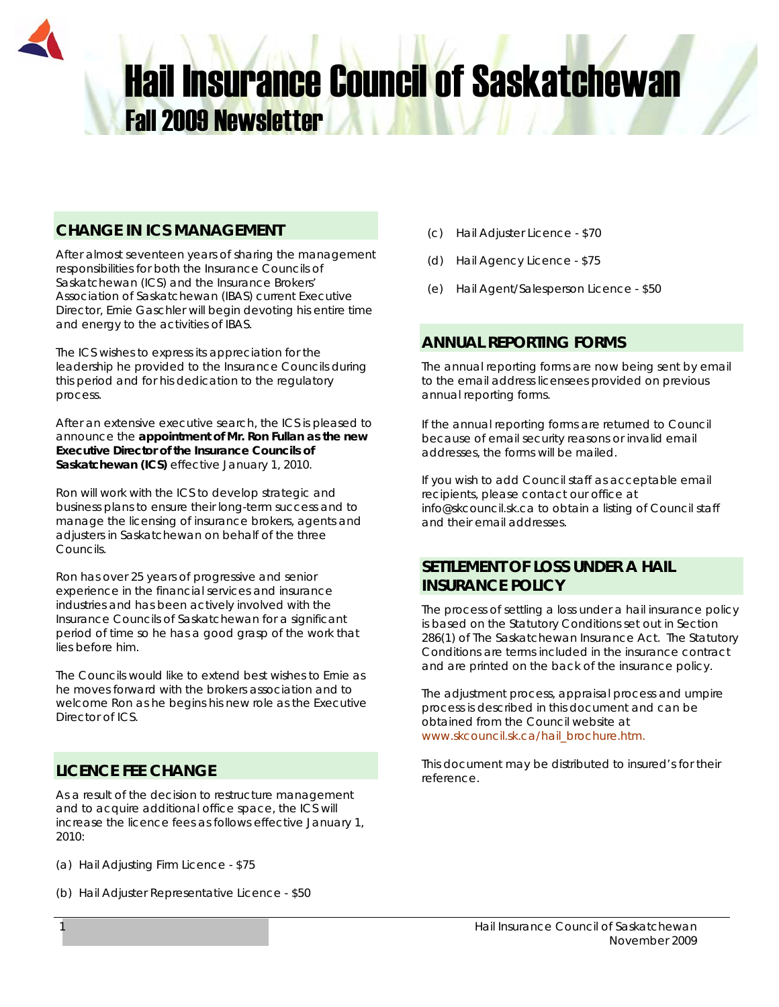# **Hail Insurance Council of Saskatchewan** Fall 2009 Newsletter

## **CHANGE IN ICS MANAGEMENT**

After almost seventeen years of sharing the management responsibilities for both the Insurance Councils of Saskatchewan (ICS) and the Insurance Brokers' Association of Saskatchewan (IBAS) current Executive Director, Ernie Gaschler will begin devoting his entire time and energy to the activities of IBAS.

The ICS wishes to express its appreciation for the leadership he provided to the Insurance Councils during this period and for his dedication to the regulatory process.

After an extensive executive search, the ICS is pleased to announce the **appointment of Mr. Ron Fullan as the new Executive Director of the Insurance Councils of Saskatchewan (ICS)** effective January 1, 2010.

Ron will work with the ICS to develop strategic and business plans to ensure their long-term success and to manage the licensing of insurance brokers, agents and adjusters in Saskatchewan on behalf of the three Councils.

Ron has over 25 years of progressive and senior experience in the financial services and insurance industries and has been actively involved with the Insurance Councils of Saskatchewan for a significant period of time so he has a good grasp of the work that lies before him.

The Councils would like to extend best wishes to Ernie as he moves forward with the brokers association and to welcome Ron as he begins his new role as the Executive Director of ICS.

## **LICENCE FEE CHANGE**

As a result of the decision to restructure management and to acquire additional office space, the ICS will increase the licence fees as follows effective January 1, 2010:

- (a) Hail Adjusting Firm Licence \$75
- (b) Hail Adjuster Representative Licence \$50
- (c) Hail Adjuster Licence \$70
- (d) Hail Agency Licence \$75
- (e) Hail Agent/Salesperson Licence \$50

## **ANNUAL REPORTING FORMS**

The annual reporting forms are now being sent by email to the email address licensees provided on previous annual reporting forms.

If the annual reporting forms are returned to Council because of email security reasons or invalid email addresses, the forms will be mailed.

If you wish to add Council staff as acceptable email recipients, please contact our office at info@skcouncil.sk.ca to obtain a listing of Council staff and their email addresses.

## **SETTLEMENT OF LOSS UNDER A HAIL INSURANCE POLICY**

The process of settling a loss under a hail insurance policy is based on the Statutory Conditions set out in Section 286(1) of *The Saskatchewan Insurance Act.* The Statutory Conditions are terms included in the insurance contract and are printed on the back of the insurance policy.

The adjustment process, appraisal process and umpire process is described in this document and can be obtained from the Council website at www.skcouncil.sk.ca/hail\_brochure.htm.

This document may be distributed to insured's for their reference.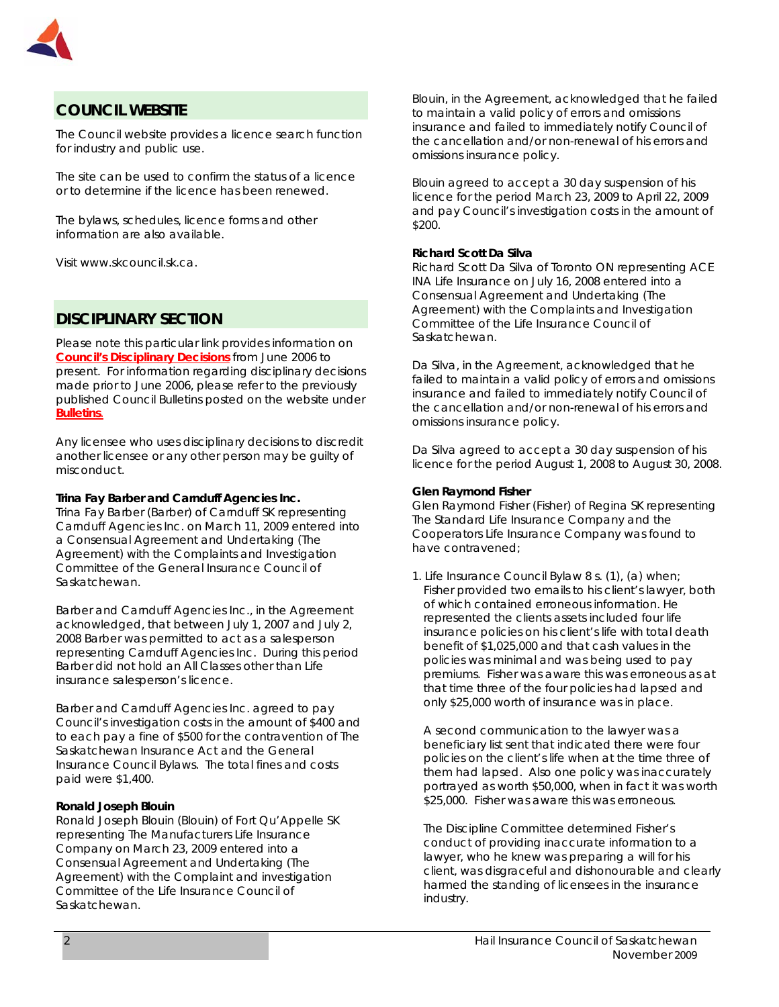

## **COUNCIL WEBSITE**

The Council website provides a licence search function for industry and public use.

The site can be used to confirm the status of a licence or to determine if the licence has been renewed.

The bylaws, schedules, licence forms and other information are also available.

Visit www.skcouncil.sk.ca.

## **DISCIPLINARY SECTION**

Please note this particular link provides information on *Council's Disciplinary Decisions* from June 2006 to present. For information regarding disciplinary decisions made prior to June 2006, please refer to the previously published Council Bulletins posted on the website under *Bulletins.*

Any licensee who uses disciplinary decisions to discredit another licensee or any other person may be guilty of misconduct.

#### **Trina Fay Barber and Carnduff Agencies Inc.**

Trina Fay Barber (Barber) of Carnduff SK representing Carnduff Agencies Inc. on March 11, 2009 entered into a Consensual Agreement and Undertaking (The Agreement) with the Complaints and Investigation Committee of the General Insurance Council of Saskatchewan.

Barber and Carnduff Agencies Inc., in the Agreement acknowledged, that between July 1, 2007 and July 2, 2008 Barber was permitted to act as a salesperson representing Carnduff Agencies Inc. During this period Barber did not hold an All Classes other than Life insurance salesperson's licence.

Barber and Carnduff Agencies Inc. agreed to pay Council's investigation costs in the amount of \$400 and to each pay a fine of \$500 for the contravention of *The Saskatchewan Insurance Act* and the General Insurance Council Bylaws. The total fines and costs paid were \$1,400.

#### **Ronald Joseph Blouin**

Ronald Joseph Blouin (Blouin) of Fort Qu'Appelle SK representing The Manufacturers Life Insurance Company on March 23, 2009 entered into a Consensual Agreement and Undertaking (The Agreement) with the Complaint and investigation Committee of the Life Insurance Council of Saskatchewan.

Blouin, in the Agreement, acknowledged that he failed to maintain a valid policy of errors and omissions insurance and failed to immediately notify Council of the cancellation and/or non-renewal of his errors and omissions insurance policy.

Blouin agreed to accept a 30 day suspension of his licence for the period March 23, 2009 to April 22, 2009 and pay Council's investigation costs in the amount of \$200.

#### **Richard Scott Da Silva**

Richard Scott Da Silva of Toronto ON representing ACE INA Life Insurance on July 16, 2008 entered into a Consensual Agreement and Undertaking (The Agreement) with the Complaints and Investigation Committee of the Life Insurance Council of Saskatchewan.

Da Silva, in the Agreement, acknowledged that he failed to maintain a valid policy of errors and omissions insurance and failed to immediately notify Council of the cancellation and/or non-renewal of his errors and omissions insurance policy.

Da Silva agreed to accept a 30 day suspension of his licence for the period August 1, 2008 to August 30, 2008.

#### **Glen Raymond Fisher**

Glen Raymond Fisher (Fisher) of Regina SK representing The Standard Life Insurance Company and the Cooperators Life Insurance Company was found to have contravened;

1. Life Insurance Council Bylaw 8 s. (1), (a) when; Fisher provided two emails to his client's lawyer, both of which contained erroneous information. He represented the clients assets included four life insurance policies on his client's life with total death benefit of \$1,025,000 and that cash values in the policies was minimal and was being used to pay premiums. Fisher was aware this was erroneous as at that time three of the four policies had lapsed and only \$25,000 worth of insurance was in place.

 A second communication to the lawyer was a beneficiary list sent that indicated there were four policies on the client's life when at the time three of them had lapsed. Also one policy was inaccurately portrayed as worth \$50,000, when in fact it was worth \$25,000. Fisher was aware this was erroneous.

 The Discipline Committee determined Fisher's conduct of providing inaccurate information to a lawyer, who he knew was preparing a will for his client, was disgraceful and dishonourable and clearly harmed the standing of licensees in the insurance industry.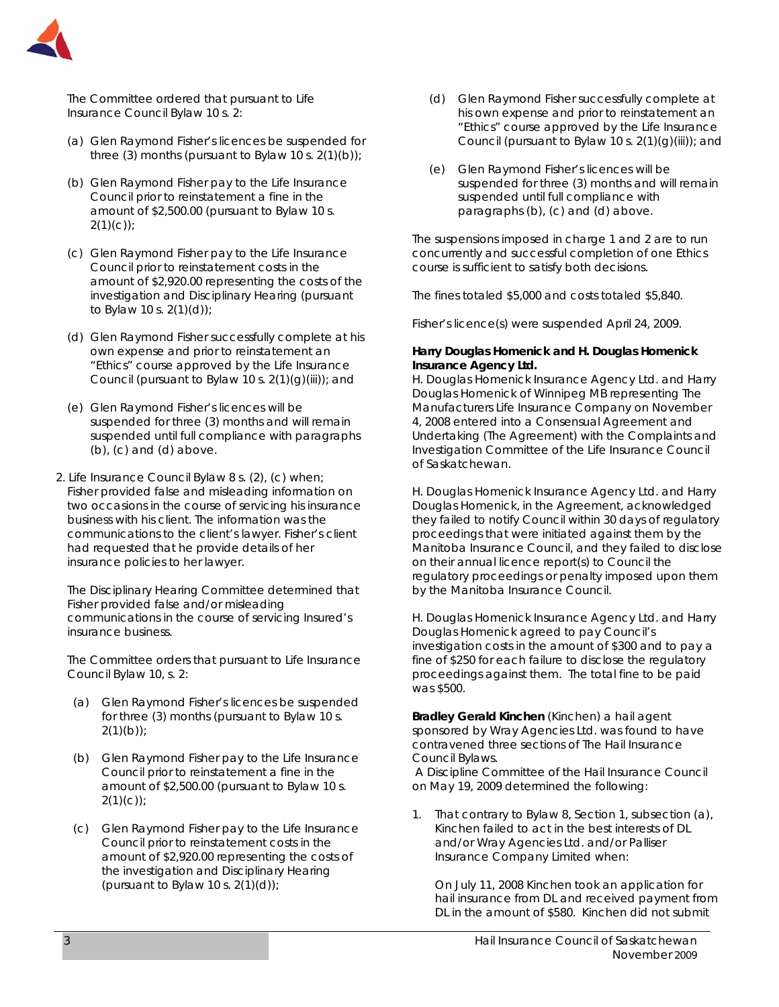

 The Committee ordered that pursuant to Life Insurance Council Bylaw 10 s. 2:

- (a) Glen Raymond Fisher's licences be suspended for three (3) months (pursuant to Bylaw 10 s.  $2(1)(b)$ );
- (b) Glen Raymond Fisher pay to the Life Insurance Council prior to reinstatement a fine in the amount of \$2,500.00 (pursuant to Bylaw 10 s.  $2(1)(c)$ ;
- (c) Glen Raymond Fisher pay to the Life Insurance Council prior to reinstatement costs in the amount of \$2,920.00 representing the costs of the investigation and Disciplinary Hearing (pursuant to Bylaw 10 s. 2(1)(d));
- (d) Glen Raymond Fisher successfully complete at his own expense and prior to reinstatement an "Ethics" course approved by the Life Insurance Council (pursuant to Bylaw 10 s.  $2(1)(q)(iii)$ ; and
- (e) Glen Raymond Fisher's licences will be suspended for three (3) months and will remain suspended until full compliance with paragraphs (b), (c) and (d) above.
- 2. Life Insurance Council Bylaw 8 s. (2), (c) when; Fisher provided false and misleading information on two occasions in the course of servicing his insurance business with his client. The information was the communications to the client's lawyer. Fisher's client had requested that he provide details of her insurance policies to her lawyer.

 The Disciplinary Hearing Committee determined that Fisher provided false and/or misleading communications in the course of servicing Insured's insurance business.

 The Committee orders that pursuant to Life Insurance Council Bylaw 10, s. 2:

- (a) Glen Raymond Fisher's licences be suspended for three (3) months (pursuant to Bylaw 10 s.  $2(1)(b)$ ;
- (b) Glen Raymond Fisher pay to the Life Insurance Council prior to reinstatement a fine in the amount of \$2,500.00 (pursuant to Bylaw 10 s.  $2(1)(c)$ ;
- (c) Glen Raymond Fisher pay to the Life Insurance Council prior to reinstatement costs in the amount of \$2,920.00 representing the costs of the investigation and Disciplinary Hearing (pursuant to Bylaw 10 s.  $2(1)(d)$ );
- (d) Glen Raymond Fisher successfully complete at his own expense and prior to reinstatement an "Ethics" course approved by the Life Insurance Council (pursuant to Bylaw 10 s.  $2(1)(g)(iii)$ ; and
- (e) Glen Raymond Fisher's licences will be suspended for three (3) months and will remain suspended until full compliance with paragraphs (b), (c) and (d) above.

The suspensions imposed in charge 1 and 2 are to run concurrently and successful completion of one Ethics course is sufficient to satisfy both decisions.

The fines totaled \$5,000 and costs totaled \$5,840.

Fisher's licence(s) were suspended April 24, 2009.

#### **Harry Douglas Homenick and H. Douglas Homenick Insurance Agency Ltd.**

H. Douglas Homenick Insurance Agency Ltd. and Harry Douglas Homenick of Winnipeg MB representing The Manufacturers Life Insurance Company on November 4, 2008 entered into a Consensual Agreement and Undertaking (The Agreement) with the Complaints and Investigation Committee of the Life Insurance Council of Saskatchewan.

H. Douglas Homenick Insurance Agency Ltd. and Harry Douglas Homenick, in the Agreement, acknowledged they failed to notify Council within 30 days of regulatory proceedings that were initiated against them by the Manitoba Insurance Council, and they failed to disclose on their annual licence report(s) to Council the regulatory proceedings or penalty imposed upon them by the Manitoba Insurance Council.

H. Douglas Homenick Insurance Agency Ltd. and Harry Douglas Homenick agreed to pay Council's investigation costs in the amount of \$300 and to pay a fine of \$250 for each failure to disclose the regulatory proceedings against them. The total fine to be paid was \$500.

**Bradley Gerald Kinchen** (Kinchen) a hail agent sponsored by Wray Agencies Ltd. was found to have contravened three sections of The Hail Insurance Council Bylaws.

 A Discipline Committee of the Hail Insurance Council on May 19, 2009 determined the following:

1. That contrary to Bylaw 8, Section 1, subsection (a), Kinchen failed to act in the best interests of DL and/or Wray Agencies Ltd. and/or Palliser Insurance Company Limited when:

On July 11, 2008 Kinchen took an application for hail insurance from DL and received payment from DL in the amount of \$580. Kinchen did not submit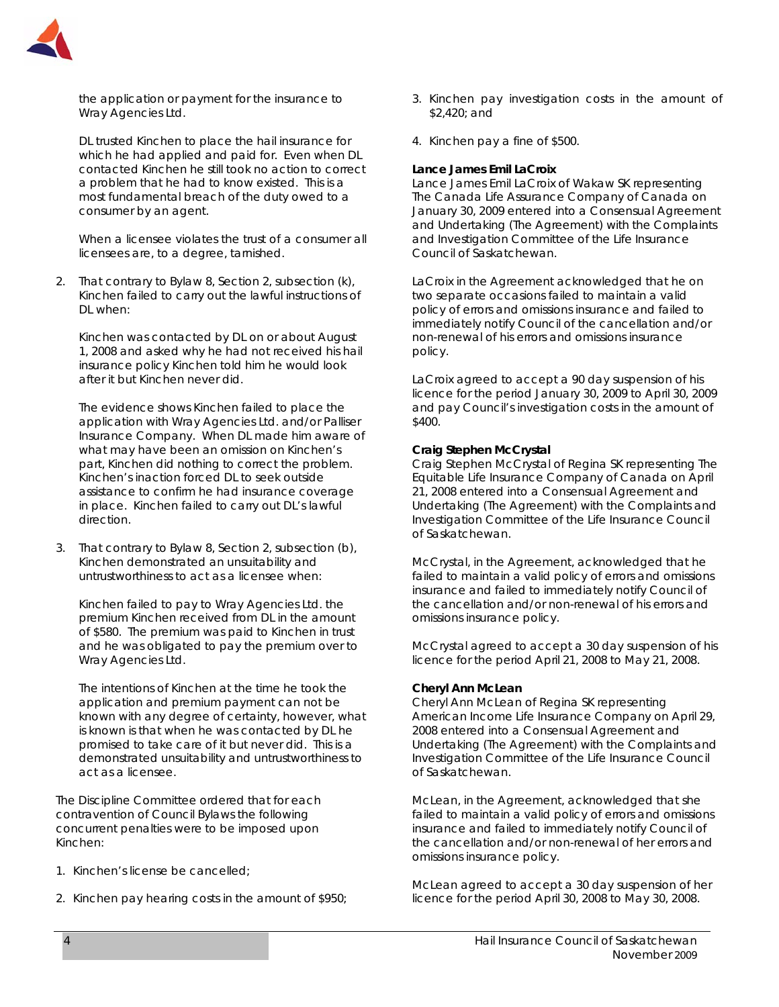

the application or payment for the insurance to Wray Agencies Ltd.

DL trusted Kinchen to place the hail insurance for which he had applied and paid for. Even when DL contacted Kinchen he still took no action to correct a problem that he had to know existed. This is a most fundamental breach of the duty owed to a consumer by an agent.

When a licensee violates the trust of a consumer all licensees are, to a degree, tarnished.

2. That contrary to Bylaw 8, Section 2, subsection (k), Kinchen failed to carry out the lawful instructions of DL when:

Kinchen was contacted by DL on or about August 1, 2008 and asked why he had not received his hail insurance policy Kinchen told him he would look after it but Kinchen never did.

The evidence shows Kinchen failed to place the application with Wray Agencies Ltd. and/or Palliser Insurance Company. When DL made him aware of what may have been an omission on Kinchen's part, Kinchen did nothing to correct the problem. Kinchen's inaction forced DL to seek outside assistance to confirm he had insurance coverage in place. Kinchen failed to carry out DL's lawful direction.

3. That contrary to Bylaw 8, Section 2, subsection (b), Kinchen demonstrated an unsuitability and untrustworthiness to act as a licensee when:

Kinchen failed to pay to Wray Agencies Ltd. the premium Kinchen received from DL in the amount of \$580. The premium was paid to Kinchen in trust and he was obligated to pay the premium over to Wray Agencies Ltd.

The intentions of Kinchen at the time he took the application and premium payment can not be known with any degree of certainty, however, what is known is that when he was contacted by DL he promised to take care of it but never did. This is a demonstrated unsuitability and untrustworthiness to act as a licensee.

The Discipline Committee ordered that for each contravention of Council Bylaws the following concurrent penalties were to be imposed upon Kinchen:

- 1. Kinchen's license be cancelled;
- 2. Kinchen pay hearing costs in the amount of \$950;
- 3. Kinchen pay investigation costs in the amount of \$2,420; and
- 4. Kinchen pay a fine of \$500.

#### **Lance James Emil LaCroix**

Lance James Emil LaCroix of Wakaw SK representing The Canada Life Assurance Company of Canada on January 30, 2009 entered into a Consensual Agreement and Undertaking (The Agreement) with the Complaints and Investigation Committee of the Life Insurance Council of Saskatchewan.

LaCroix in the Agreement acknowledged that he on two separate occasions failed to maintain a valid policy of errors and omissions insurance and failed to immediately notify Council of the cancellation and/or non-renewal of his errors and omissions insurance policy.

LaCroix agreed to accept a 90 day suspension of his licence for the period January 30, 2009 to April 30, 2009 and pay Council's investigation costs in the amount of \$400.

#### **Craig Stephen McCrystal**

Craig Stephen McCrystal of Regina SK representing The Equitable Life Insurance Company of Canada on April 21, 2008 entered into a Consensual Agreement and Undertaking (The Agreement) with the Complaints and Investigation Committee of the Life Insurance Council of Saskatchewan.

McCrystal, in the Agreement, acknowledged that he failed to maintain a valid policy of errors and omissions insurance and failed to immediately notify Council of the cancellation and/or non-renewal of his errors and omissions insurance policy.

McCrystal agreed to accept a 30 day suspension of his licence for the period April 21, 2008 to May 21, 2008.

#### **Cheryl Ann McLean**

Cheryl Ann McLean of Regina SK representing American Income Life Insurance Company on April 29, 2008 entered into a Consensual Agreement and Undertaking (The Agreement) with the Complaints and Investigation Committee of the Life Insurance Council of Saskatchewan.

McLean, in the Agreement, acknowledged that she failed to maintain a valid policy of errors and omissions insurance and failed to immediately notify Council of the cancellation and/or non-renewal of her errors and omissions insurance policy.

McLean agreed to accept a 30 day suspension of her licence for the period April 30, 2008 to May 30, 2008.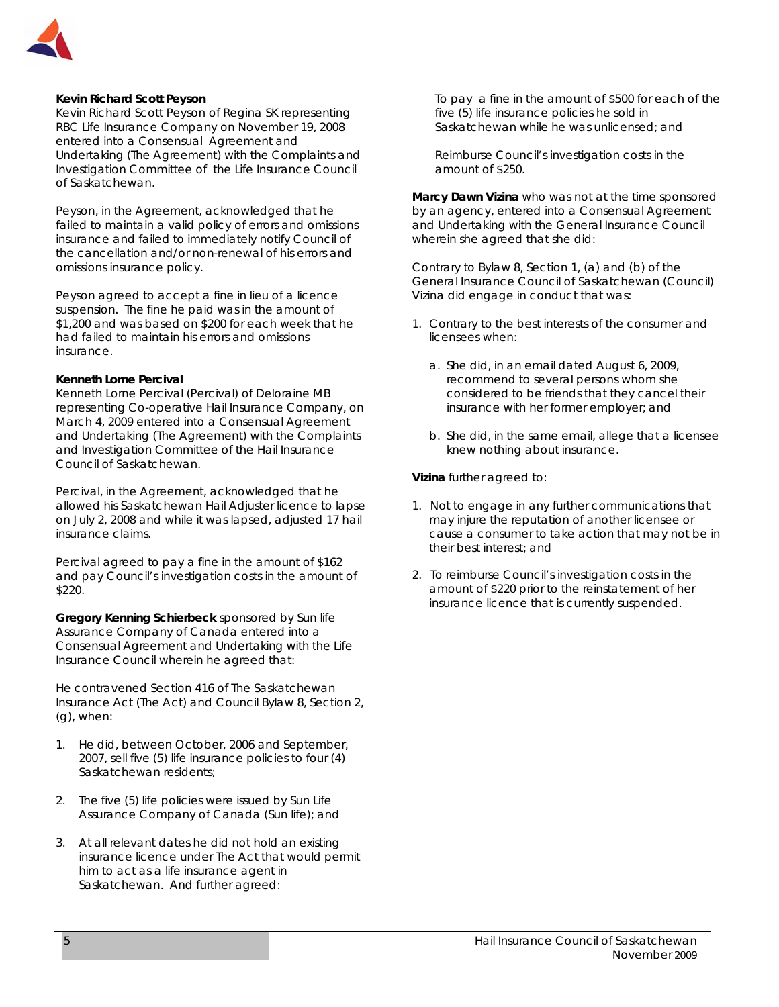

#### **Kevin Richard Scott Peyson**

Kevin Richard Scott Peyson of Regina SK representing RBC Life Insurance Company on November 19, 2008 entered into a Consensual Agreement and Undertaking (The Agreement) with the Complaints and Investigation Committee of the Life Insurance Council of Saskatchewan.

Peyson, in the Agreement, acknowledged that he failed to maintain a valid policy of errors and omissions insurance and failed to immediately notify Council of the cancellation and/or non-renewal of his errors and omissions insurance policy.

Peyson agreed to accept a fine in lieu of a licence suspension. The fine he paid was in the amount of \$1,200 and was based on \$200 for each week that he had failed to maintain his errors and omissions insurance.

#### **Kenneth Lorne Percival**

Kenneth Lorne Percival (Percival) of Deloraine MB representing Co-operative Hail Insurance Company, on March 4, 2009 entered into a Consensual Agreement and Undertaking (The Agreement) with the Complaints and Investigation Committee of the Hail Insurance Council of Saskatchewan.

Percival, in the Agreement, acknowledged that he allowed his Saskatchewan Hail Adjuster licence to lapse on July 2, 2008 and while it was lapsed, adjusted 17 hail insurance claims.

Percival agreed to pay a fine in the amount of \$162 and pay Council's investigation costs in the amount of \$220.

**Gregory Kenning Schierbeck** sponsored by Sun life Assurance Company of Canada entered into a Consensual Agreement and Undertaking with the Life Insurance Council wherein he agreed that:

He contravened Section 416 of *The Saskatchewan Insurance Act* (The Act) and Council Bylaw 8, Section 2, (g), when:

- 1. He did, between October, 2006 and September, 2007, sell five (5) life insurance policies to four (4) Saskatchewan residents;
- 2. The five (5) life policies were issued by Sun Life Assurance Company of Canada (Sun life); and
- 3. At all relevant dates he did not hold an existing insurance licence under The Act that would permit him to act as a life insurance agent in Saskatchewan. And further agreed:

To pay a fine in the amount of \$500 for each of the five (5) life insurance policies he sold in Saskatchewan while he was unlicensed; and

Reimburse Council's investigation costs in the amount of \$250.

**Marcy Dawn Vizina** who was not at the time sponsored by an agency, entered into a Consensual Agreement and Undertaking with the General Insurance Council wherein she agreed that she did:

Contrary to Bylaw 8, Section 1, (a) and (b) of the General Insurance Council of Saskatchewan (Council) Vizina did engage in conduct that was:

- 1. Contrary to the best interests of the consumer and licensees when:
	- a. She did, in an email dated August 6, 2009, recommend to several persons whom she considered to be friends that they cancel their insurance with her former employer; and
	- b. She did, in the same email, allege that a licensee knew nothing about insurance.

**Vizina** further agreed to:

- 1. Not to engage in any further communications that may injure the reputation of another licensee or cause a consumer to take action that may not be in their best interest; and
- 2. To reimburse Council's investigation costs in the amount of \$220 prior to the reinstatement of her insurance licence that is currently suspended.